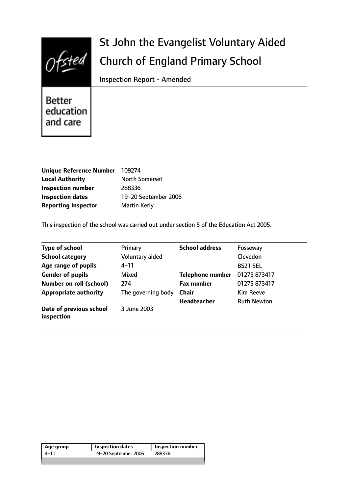

# St John the Evangelist Voluntary Aided Church of England Primary School

Inspection Report - Amended

Better education and care

| <b>Unique Reference Number</b> | 109274                |
|--------------------------------|-----------------------|
| <b>Local Authority</b>         | <b>North Somerset</b> |
| <b>Inspection number</b>       | 288336                |
| <b>Inspection dates</b>        | 19-20 September 2006  |
| <b>Reporting inspector</b>     | <b>Martin Kerly</b>   |

This inspection of the school was carried out under section 5 of the Education Act 2005.

| <b>Type of school</b>                 | Primary            | <b>School address</b>   | Fosseway           |
|---------------------------------------|--------------------|-------------------------|--------------------|
| <b>School category</b>                | Voluntary aided    |                         | Clevedon           |
| Age range of pupils                   | 4–11               |                         | <b>BS21 5EL</b>    |
| <b>Gender of pupils</b>               | Mixed              | <b>Telephone number</b> | 01275 873417       |
| <b>Number on roll (school)</b>        | 274                | <b>Fax number</b>       | 01275 873417       |
| <b>Appropriate authority</b>          | The governing body | <b>Chair</b>            | Kim Reeve          |
|                                       |                    | Headteacher             | <b>Ruth Newton</b> |
| Date of previous school<br>inspection | 3 June 2003        |                         |                    |

| Age group | <b>Inspection dates</b> | Inspection number |
|-----------|-------------------------|-------------------|
| 4–11      | 19-20 September 2006    | 288336            |
|           |                         |                   |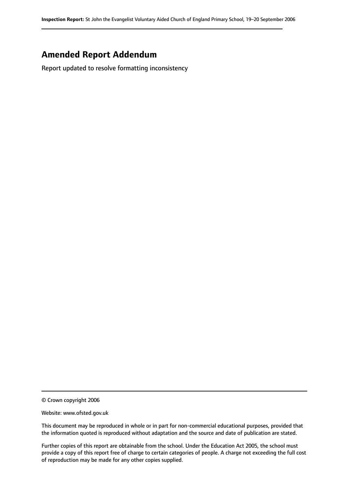## **Amended Report Addendum**

Report updated to resolve formatting inconsistency

<sup>©</sup> Crown copyright 2006

Website: www.ofsted.gov.uk

This document may be reproduced in whole or in part for non-commercial educational purposes, provided that the information quoted is reproduced without adaptation and the source and date of publication are stated.

Further copies of this report are obtainable from the school. Under the Education Act 2005, the school must provide a copy of this report free of charge to certain categories of people. A charge not exceeding the full cost of reproduction may be made for any other copies supplied.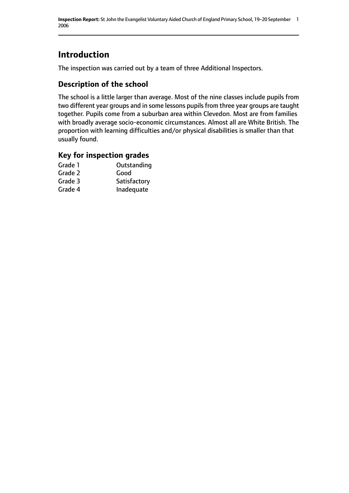# **Introduction**

The inspection was carried out by a team of three Additional Inspectors.

## **Description of the school**

The school is a little larger than average. Most of the nine classes include pupils from two different year groups and in some lessons pupils from three year groups are taught together. Pupils come from a suburban area within Clevedon. Most are from families with broadly average socio-economic circumstances. Almost all are White British. The proportion with learning difficulties and/or physical disabilities is smaller than that usually found.

#### **Key for inspection grades**

| Outstanding  |
|--------------|
| Good         |
| Satisfactory |
| Inadequate   |
|              |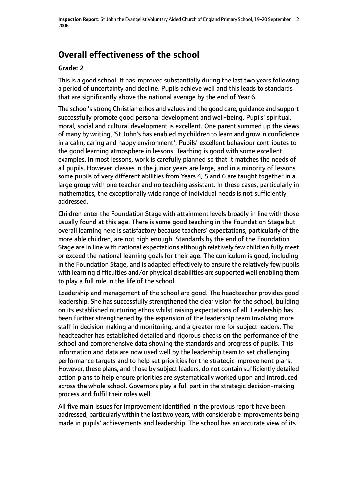# **Overall effectiveness of the school**

#### **Grade: 2**

This is a good school. It has improved substantially during the last two years following a period of uncertainty and decline. Pupils achieve well and this leads to standards that are significantly above the national average by the end of Year 6.

The school's strong Christian ethos and values and the good care, guidance and support successfully promote good personal development and well-being. Pupils' spiritual, moral, social and cultural development is excellent. One parent summed up the views of many by writing, 'St John's has enabled my children to learn and grow in confidence in a calm, caring and happy environment'. Pupils' excellent behaviour contributes to the good learning atmosphere in lessons. Teaching is good with some excellent examples. In most lessons, work is carefully planned so that it matches the needs of all pupils. However, classes in the junior years are large, and in a minority of lessons some pupils of very different abilities from Years 4, 5 and 6 are taught together in a large group with one teacher and no teaching assistant. In these cases, particularly in mathematics, the exceptionally wide range of individual needs is not sufficiently addressed.

Children enter the Foundation Stage with attainment levels broadly in line with those usually found at this age. There is some good teaching in the Foundation Stage but overall learning here is satisfactory because teachers' expectations, particularly of the more able children, are not high enough. Standards by the end of the Foundation Stage are in line with national expectations although relatively few children fully meet or exceed the national learning goals for their age. The curriculum is good, including in the Foundation Stage, and is adapted effectively to ensure the relatively few pupils with learning difficulties and/or physical disabilities are supported well enabling them to play a full role in the life of the school.

Leadership and management of the school are good. The headteacher provides good leadership. She has successfully strengthened the clear vision for the school, building on its established nurturing ethos whilst raising expectations of all. Leadership has been further strengthened by the expansion of the leadership team involving more staff in decision making and monitoring, and a greater role for subject leaders. The headteacher has established detailed and rigorous checks on the performance of the school and comprehensive data showing the standards and progress of pupils. This information and data are now used well by the leadership team to set challenging performance targets and to help set priorities for the strategic improvement plans. However, these plans, and those by subject leaders, do not contain sufficiently detailed action plans to help ensure priorities are systematically worked upon and introduced across the whole school. Governors play a full part in the strategic decision-making process and fulfil their roles well.

All five main issues for improvement identified in the previous report have been addressed, particularly within the last two years, with considerable improvements being made in pupils' achievements and leadership. The school has an accurate view of its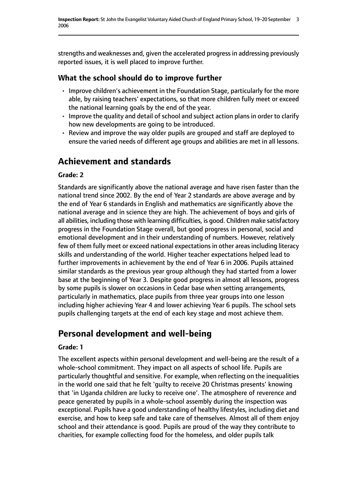strengths and weaknesses and, given the accelerated progressin addressing previously reported issues, it is well placed to improve further.

### **What the school should do to improve further**

- Improve children's achievement in the Foundation Stage, particularly for the more able, by raising teachers' expectations, so that more children fully meet or exceed the national learning goals by the end of the year.
- Improve the quality and detail of school and subject action plans in order to clarify how new developments are going to be introduced.
- Review and improve the way older pupils are grouped and staff are deployed to ensure the varied needs of different age groups and abilities are met in all lessons.

# **Achievement and standards**

#### **Grade: 2**

Standards are significantly above the national average and have risen faster than the national trend since 2002. By the end of Year 2 standards are above average and by the end of Year 6 standards in English and mathematics are significantly above the national average and in science they are high. The achievement of boys and girls of all abilities, including those with learning difficulties, is good. Children make satisfactory progress in the Foundation Stage overall, but good progress in personal, social and emotional development and in their understanding of numbers. However, relatively few of them fully meet or exceed national expectations in other areas including literacy skills and understanding of the world. Higher teacher expectations helped lead to further improvements in achievement by the end of Year 6 in 2006. Pupils attained similar standards as the previous year group although they had started from a lower base at the beginning of Year 3. Despite good progress in almost all lessons, progress by some pupils is slower on occasions in Cedar base when setting arrangements, particularly in mathematics, place pupils from three year groups into one lesson including higher achieving Year 4 and lower achieving Year 6 pupils. The school sets pupils challenging targets at the end of each key stage and most achieve them.

# **Personal development and well-being**

#### **Grade: 1**

The excellent aspects within personal development and well-being are the result of a whole-school commitment. They impact on all aspects of school life. Pupils are particularly thoughtful and sensitive. For example, when reflecting on the inequalities in the world one said that he felt 'guilty to receive 20 Christmas presents' knowing that 'in Uganda children are lucky to receive one'. The atmosphere of reverence and peace generated by pupils in a whole-school assembly during the inspection was exceptional. Pupils have a good understanding of healthy lifestyles, including diet and exercise, and how to keep safe and take care of themselves. Almost all of them enjoy school and their attendance is good. Pupils are proud of the way they contribute to charities, for example collecting food for the homeless, and older pupils talk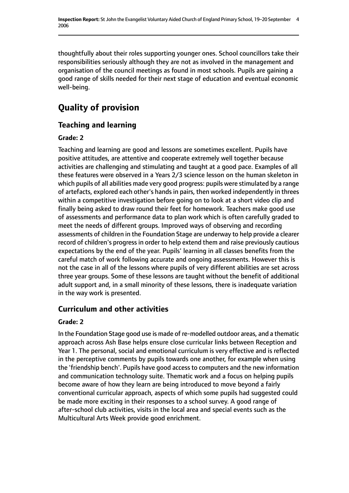thoughtfully about their roles supporting younger ones. School councillors take their responsibilities seriously although they are not as involved in the management and organisation of the council meetings as found in most schools. Pupils are gaining a good range of skills needed for their next stage of education and eventual economic well-being.

# **Quality of provision**

## **Teaching and learning**

#### **Grade: 2**

Teaching and learning are good and lessons are sometimes excellent. Pupils have positive attitudes, are attentive and cooperate extremely well together because activities are challenging and stimulating and taught at a good pace. Examples of all these features were observed in a Years 2/3 science lesson on the human skeleton in which pupils of all abilities made very good progress: pupils were stimulated by a range of artefacts, explored each other's hands in pairs, then worked independently in threes within a competitive investigation before going on to look at a short video clip and finally being asked to draw round their feet for homework. Teachers make good use of assessments and performance data to plan work which is often carefully graded to meet the needs of different groups. Improved ways of observing and recording assessments of children in the Foundation Stage are underway to help provide a clearer record of children's progress in order to help extend them and raise previously cautious expectations by the end of the year. Pupils' learning in all classes benefits from the careful match of work following accurate and ongoing assessments. However this is not the case in all of the lessons where pupils of very different abilities are set across three year groups. Some of these lessons are taught without the benefit of additional adult support and, in a small minority of these lessons, there is inadequate variation in the way work is presented.

#### **Curriculum and other activities**

#### **Grade: 2**

In the Foundation Stage good use is made of re-modelled outdoor areas, and a thematic approach across Ash Base helps ensure close curricular links between Reception and Year 1. The personal, social and emotional curriculum is very effective and is reflected in the perceptive comments by pupils towards one another, for example when using the 'friendship bench'. Pupils have good access to computers and the new information and communication technology suite. Thematic work and a focus on helping pupils become aware of how they learn are being introduced to move beyond a fairly conventional curricular approach, aspects of which some pupils had suggested could be made more exciting in their responses to a school survey. A good range of after-school club activities, visits in the local area and special events such as the Multicultural Arts Week provide good enrichment.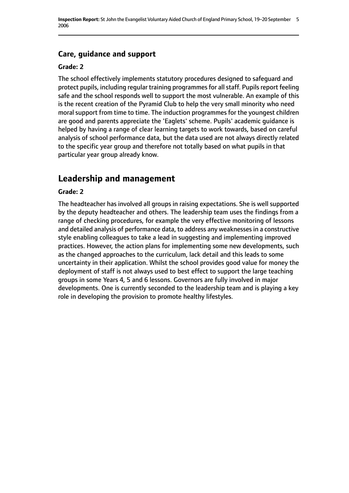## **Care, guidance and support**

#### **Grade: 2**

The school effectively implements statutory procedures designed to safeguard and protect pupils, including regular training programmes for all staff. Pupils report feeling safe and the school responds well to support the most vulnerable. An example of this is the recent creation of the Pyramid Club to help the very small minority who need moral support from time to time. The induction programmes for the youngest children are good and parents appreciate the 'Eaglets' scheme. Pupils' academic guidance is helped by having a range of clear learning targets to work towards, based on careful analysis of school performance data, but the data used are not always directly related to the specific year group and therefore not totally based on what pupils in that particular year group already know.

## **Leadership and management**

#### **Grade: 2**

The headteacher has involved all groups in raising expectations. She is well supported by the deputy headteacher and others. The leadership team uses the findings from a range of checking procedures, for example the very effective monitoring of lessons and detailed analysis of performance data, to address any weaknessesin a constructive style enabling colleagues to take a lead in suggesting and implementing improved practices. However, the action plans for implementing some new developments, such as the changed approaches to the curriculum, lack detail and this leads to some uncertainty in their application. Whilst the school provides good value for money the deployment of staff is not always used to best effect to support the large teaching groups in some Years 4, 5 and 6 lessons. Governors are fully involved in major developments. One is currently seconded to the leadership team and is playing a key role in developing the provision to promote healthy lifestyles.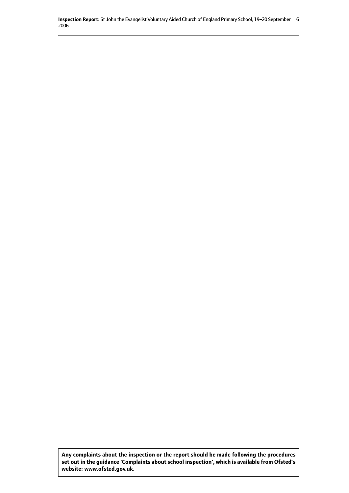**Inspection Report:** St John the Evangelist Voluntary Aided Church of England Primary School, 19-20 September 6 2006

**Any complaints about the inspection or the report should be made following the procedures set out inthe guidance 'Complaints about school inspection', whichis available from Ofsted's website: www.ofsted.gov.uk.**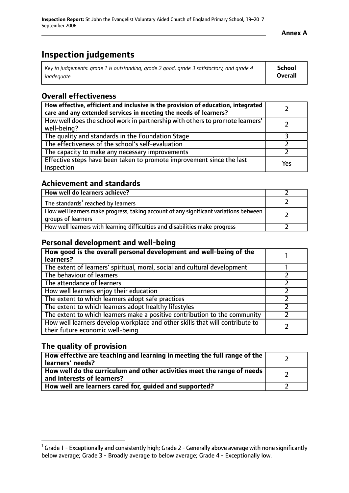# **Inspection judgements**

| Key to judgements: grade 1 is outstanding, grade 2 good, grade 3 satisfactory, and grade 4 | School         |
|--------------------------------------------------------------------------------------------|----------------|
| inadeauate                                                                                 | <b>Overall</b> |

#### **Overall effectiveness**

| How effective, efficient and inclusive is the provision of education, integrated<br>care and any extended services in meeting the needs of learners? |     |
|------------------------------------------------------------------------------------------------------------------------------------------------------|-----|
| How well does the school work in partnership with others to promote learners'<br>well-being?                                                         |     |
| The quality and standards in the Foundation Stage                                                                                                    |     |
| The effectiveness of the school's self-evaluation                                                                                                    |     |
| The capacity to make any necessary improvements                                                                                                      |     |
| Effective steps have been taken to promote improvement since the last<br>inspection                                                                  | Yes |

#### **Achievement and standards**

| How well do learners achieve?                                                                               |  |
|-------------------------------------------------------------------------------------------------------------|--|
| The standards <sup>1</sup> reached by learners                                                              |  |
| How well learners make progress, taking account of any significant variations between<br>groups of learners |  |
| How well learners with learning difficulties and disabilities make progress                                 |  |

#### **Personal development and well-being**

| How good is the overall personal development and well-being of the<br>learners?                                  |  |
|------------------------------------------------------------------------------------------------------------------|--|
| The extent of learners' spiritual, moral, social and cultural development                                        |  |
| The behaviour of learners                                                                                        |  |
| The attendance of learners                                                                                       |  |
| How well learners enjoy their education                                                                          |  |
| The extent to which learners adopt safe practices                                                                |  |
| The extent to which learners adopt healthy lifestyles                                                            |  |
| The extent to which learners make a positive contribution to the community                                       |  |
| How well learners develop workplace and other skills that will contribute to<br>their future economic well-being |  |

### **The quality of provision**

| How effective are teaching and learning in meeting the full range of the<br>learners' needs?          |  |
|-------------------------------------------------------------------------------------------------------|--|
| How well do the curriculum and other activities meet the range of needs<br>and interests of learners? |  |
| How well are learners cared for, guided and supported?                                                |  |

 $^1$  Grade 1 - Exceptionally and consistently high; Grade 2 - Generally above average with none significantly below average; Grade 3 - Broadly average to below average; Grade 4 - Exceptionally low.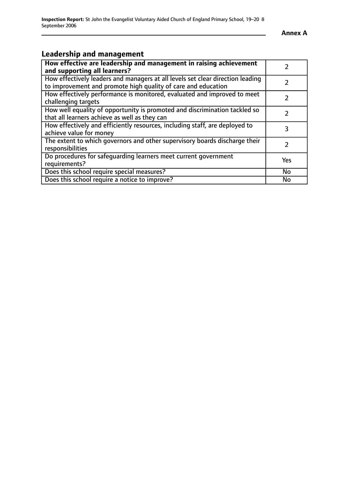$\overline{\phantom{a}}$ 

## **Leadership and management**

| How effective are leadership and management in raising achievement<br>and supporting all learners?                                              | $\mathcal{P}$ |
|-------------------------------------------------------------------------------------------------------------------------------------------------|---------------|
| How effectively leaders and managers at all levels set clear direction leading<br>to improvement and promote high quality of care and education |               |
| How effectively performance is monitored, evaluated and improved to meet<br>challenging targets                                                 |               |
| How well equality of opportunity is promoted and discrimination tackled so<br>that all learners achieve as well as they can                     |               |
| How effectively and efficiently resources, including staff, are deployed to<br>achieve value for money                                          | 3             |
| The extent to which governors and other supervisory boards discharge their<br>responsibilities                                                  | 2             |
| Do procedures for safequarding learners meet current government<br>requirements?                                                                | Yes           |
| Does this school require special measures?                                                                                                      | No            |
| Does this school require a notice to improve?                                                                                                   | <b>No</b>     |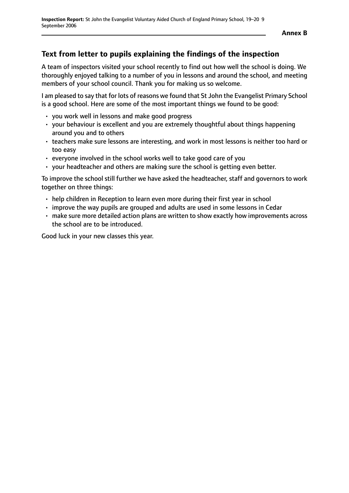## **Text from letter to pupils explaining the findings of the inspection**

A team of inspectors visited your school recently to find out how well the school is doing. We thoroughly enjoyed talking to a number of you in lessons and around the school, and meeting members of your school council. Thank you for making us so welcome.

I am pleased to say that for lots of reasons we found that St John the Evangelist Primary School is a good school. Here are some of the most important things we found to be good:

- you work well in lessons and make good progress
- your behaviour is excellent and you are extremely thoughtful about things happening around you and to others
- teachers make sure lessons are interesting, and work in most lessons is neither too hard or too easy
- everyone involved in the school works well to take good care of you
- your headteacher and others are making sure the school is getting even better.

To improve the school still further we have asked the headteacher, staff and governors to work together on three things:

- help children in Reception to learn even more during their first year in school
- improve the way pupils are grouped and adults are used in some lessons in Cedar
- make sure more detailed action plans are written to show exactly how improvements across the school are to be introduced.

Good luck in your new classes this year.